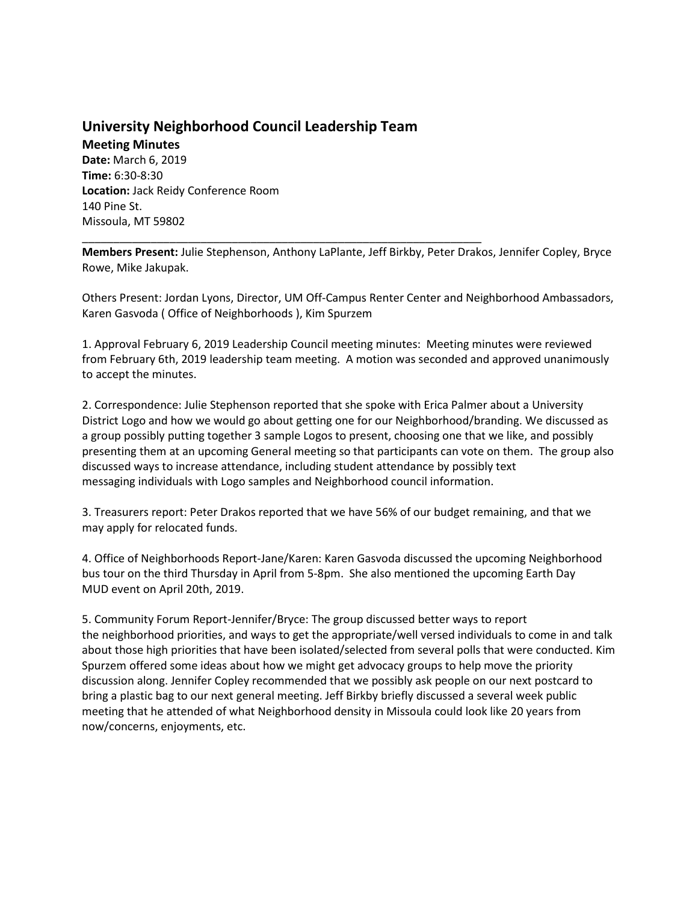## **University Neighborhood Council Leadership Team**

\_\_\_\_\_\_\_\_\_\_\_\_\_\_\_\_\_\_\_\_\_\_\_\_\_\_\_\_\_\_\_\_\_\_\_\_\_\_\_\_\_\_\_\_\_\_\_\_\_\_\_\_\_\_\_\_\_\_\_\_\_\_\_\_

**Meeting Minutes Date:** March 6, 2019 **Time:** 6:30-8:30 **Location:** Jack Reidy Conference Room 140 Pine St. Missoula, MT 59802

**Members Present:** Julie Stephenson, Anthony LaPlante, Jeff Birkby, Peter Drakos, Jennifer Copley, Bryce Rowe, Mike Jakupak.

Others Present: Jordan Lyons, Director, UM Off-Campus Renter Center and Neighborhood Ambassadors, Karen Gasvoda ( Office of Neighborhoods ), Kim Spurzem

1. Approval February 6, 2019 Leadership Council meeting minutes: Meeting minutes were reviewed from February 6th, 2019 leadership team meeting. A motion was seconded and approved unanimously to accept the minutes.

2. Correspondence: Julie Stephenson reported that she spoke with Erica Palmer about a University District Logo and how we would go about getting one for our Neighborhood/branding. We discussed as a group possibly putting together 3 sample Logos to present, choosing one that we like, and possibly presenting them at an upcoming General meeting so that participants can vote on them. The group also discussed ways to increase attendance, including student attendance by possibly text messaging individuals with Logo samples and Neighborhood council information.

3. Treasurers report: Peter Drakos reported that we have 56% of our budget remaining, and that we may apply for relocated funds.

4. Office of Neighborhoods Report-Jane/Karen: Karen Gasvoda discussed the upcoming Neighborhood bus tour on the third Thursday in April from 5-8pm. She also mentioned the upcoming Earth Day MUD event on April 20th, 2019.

5. Community Forum Report-Jennifer/Bryce: The group discussed better ways to report the neighborhood priorities, and ways to get the appropriate/well versed individuals to come in and talk about those high priorities that have been isolated/selected from several polls that were conducted. Kim Spurzem offered some ideas about how we might get advocacy groups to help move the priority discussion along. Jennifer Copley recommended that we possibly ask people on our next postcard to bring a plastic bag to our next general meeting. Jeff Birkby briefly discussed a several week public meeting that he attended of what Neighborhood density in Missoula could look like 20 years from now/concerns, enjoyments, etc.